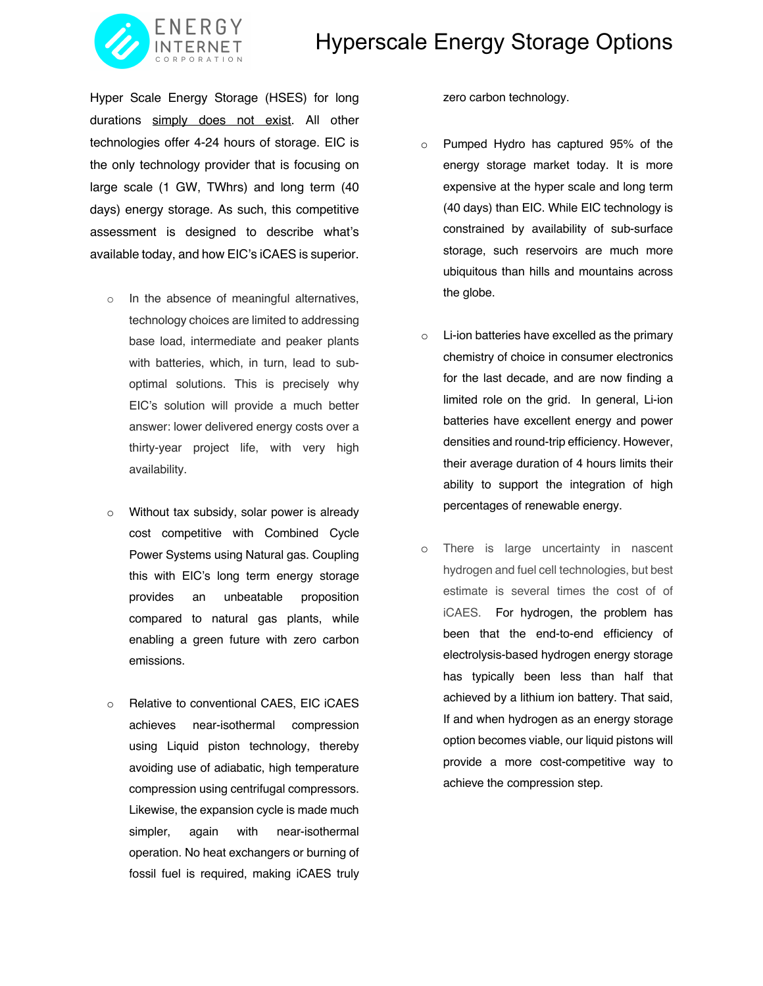## Hyperscale Energy Storage Options



Hyper Scale Energy Storage (HSES) for long durations simply does not exist. All other technologies offer 4-24 hours of storage. EIC is the only technology provider that is focusing on large scale (1 GW, TWhrs) and long term (40 days) energy storage. As such, this competitive assessment is designed to describe what's available today, and how EIC's iCAES is superior.

- o In the absence of meaningful alternatives, technology choices are limited to addressing base load, intermediate and peaker plants with batteries, which, in turn, lead to suboptimal solutions. This is precisely why EIC's solution will provide a much better answer: lower delivered energy costs over a thirty-year project life, with very high availability.
- o Without tax subsidy, solar power is already cost competitive with Combined Cycle Power Systems using Natural gas. Coupling this with EIC's long term energy storage provides an unbeatable proposition compared to natural gas plants, while enabling a green future with zero carbon emissions.
- o Relative to conventional CAES, EIC iCAES achieves near-isothermal compression using Liquid piston technology, thereby avoiding use of adiabatic, high temperature compression using centrifugal compressors. Likewise, the expansion cycle is made much simpler, again with near-isothermal operation. No heat exchangers or burning of fossil fuel is required, making iCAES truly

zero carbon technology.

- o Pumped Hydro has captured 95% of the energy storage market today. It is more expensive at the hyper scale and long term (40 days) than EIC. While EIC technology is constrained by availability of sub-surface storage, such reservoirs are much more ubiquitous than hills and mountains across the globe.
- o Li-ion batteries have excelled as the primary chemistry of choice in consumer electronics for the last decade, and are now finding a limited role on the grid. In general, Li-ion batteries have excellent energy and power densities and round-trip efficiency. However, their average duration of 4 hours limits their ability to support the integration of high percentages of renewable energy.
- o There is large uncertainty in nascent hydrogen and fuel cell technologies, but best estimate is several times the cost of of iCAES. For hydrogen, the problem has been that the end-to-end efficiency of electrolysis-based hydrogen energy storage has typically been less than half that achieved by a lithium ion battery. That said, If and when hydrogen as an energy storage option becomes viable, our liquid pistons will provide a more cost-competitive way to achieve the compression step.